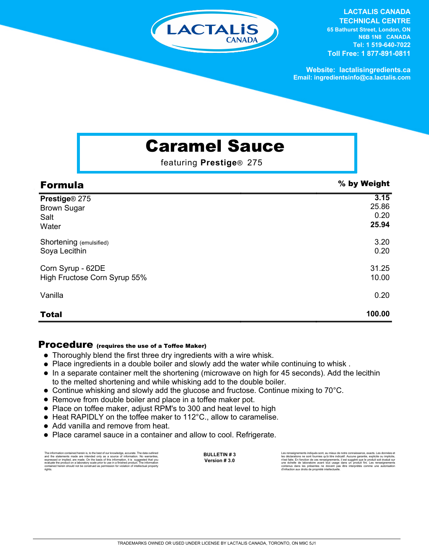

## **LACTALIS CANADA**

**TECHNICAL CENTRE 65 Bathurst Street, London, ON N6B 1N8 CANADA Tel: 1 519-640-7022 Toll Free: 1 877-891-0811**

**Website: lactalisingredients.ca Email: ingredientsinfo@ca.lactalis.com**

# Caramel Sauce

featuring **Prestige**® 275

| <b>Formula</b>               | % by Weight |
|------------------------------|-------------|
| Prestige® 275                | 3.15        |
| <b>Brown Sugar</b>           | 25.86       |
| Salt                         | 0.20        |
| Water                        | 25.94       |
| Shortening (emulsified)      | 3.20        |
| Soya Lecithin                | 0.20        |
| Corn Syrup - 62DE            | 31.25       |
| High Fructose Corn Syrup 55% | 10.00       |
| Vanilla                      | 0.20        |
| <b>Total</b>                 | 100.00      |

### Procedure (requires the use of a Toffee Maker)

- Thoroughly blend the first three dry ingredients with a wire whisk.
- Place ingredients in a double boiler and slowly add the water while continuing to whisk .  $\bullet$
- In a separate container melt the shortening (microwave on high for 45 seconds). Add the lecithin to the melted shortening and while whisking add to the double boiler.
- Continue whisking and slowly add the glucose and fructose. Continue mixing to 70°C.
- Remove from double boiler and place in a toffee maker pot.
- Place on toffee maker, adjust RPM's to 300 and heat level to high
- Heat RAPIDLY on the toffee maker to 112°C., allow to caramelise.
- Add vanilla and remove from heat.
- Place caramel sauce in a container and allow to cool. Refrigerate.

The information contained herein is, to the best of our knowledge, accurate. The data outlined and the statements made are intended only as a source of information. No warranties, expressed or implied, are made. On the bas rights.

**BULLETIN # 3 Version # 3.0** Les renseignements indiqués sont, au mieux de notre connaissance, exacts. Les données et<br>les déclarations ne sont fournies qu'à titre indicatif. Aucune garantie, explicite ou implicite,<br>riest faite. En fonction de ces rens